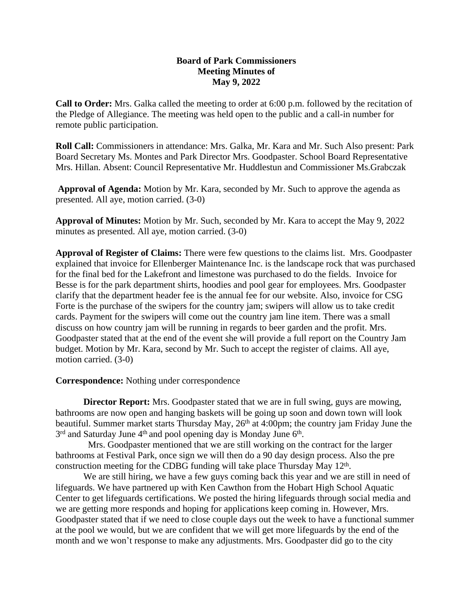## **Board of Park Commissioners Meeting Minutes of May 9, 2022**

**Call to Order:** Mrs. Galka called the meeting to order at 6:00 p.m. followed by the recitation of the Pledge of Allegiance. The meeting was held open to the public and a call-in number for remote public participation.

**Roll Call:** Commissioners in attendance: Mrs. Galka, Mr. Kara and Mr. Such Also present: Park Board Secretary Ms. Montes and Park Director Mrs. Goodpaster. School Board Representative Mrs. Hillan. Absent: Council Representative Mr. Huddlestun and Commissioner Ms.Grabczak

**Approval of Agenda:** Motion by Mr. Kara, seconded by Mr. Such to approve the agenda as presented. All aye, motion carried. (3-0)

**Approval of Minutes:** Motion by Mr. Such, seconded by Mr. Kara to accept the May 9, 2022 minutes as presented. All aye, motion carried. (3-0)

**Approval of Register of Claims:** There were few questions to the claims list. Mrs. Goodpaster explained that invoice for Ellenberger Maintenance Inc. is the landscape rock that was purchased for the final bed for the Lakefront and limestone was purchased to do the fields. Invoice for Besse is for the park department shirts, hoodies and pool gear for employees. Mrs. Goodpaster clarify that the department header fee is the annual fee for our website. Also, invoice for CSG Forte is the purchase of the swipers for the country jam; swipers will allow us to take credit cards. Payment for the swipers will come out the country jam line item. There was a small discuss on how country jam will be running in regards to beer garden and the profit. Mrs. Goodpaster stated that at the end of the event she will provide a full report on the Country Jam budget. Motion by Mr. Kara, second by Mr. Such to accept the register of claims. All aye, motion carried. (3-0)

**Correspondence:** Nothing under correspondence

**Director Report:** Mrs. Goodpaster stated that we are in full swing, guys are mowing, bathrooms are now open and hanging baskets will be going up soon and down town will look beautiful. Summer market starts Thursday May, 26<sup>th</sup> at 4:00pm; the country jam Friday June the 3<sup>rd</sup> and Saturday June 4<sup>th</sup> and pool opening day is Monday June 6<sup>th</sup>.

 Mrs. Goodpaster mentioned that we are still working on the contract for the larger bathrooms at Festival Park, once sign we will then do a 90 day design process. Also the pre construction meeting for the CDBG funding will take place Thursday May 12<sup>th</sup>.

We are still hiring, we have a few guys coming back this year and we are still in need of lifeguards. We have partnered up with Ken Cawthon from the Hobart High School Aquatic Center to get lifeguards certifications. We posted the hiring lifeguards through social media and we are getting more responds and hoping for applications keep coming in. However, Mrs. Goodpaster stated that if we need to close couple days out the week to have a functional summer at the pool we would, but we are confident that we will get more lifeguards by the end of the month and we won't response to make any adjustments. Mrs. Goodpaster did go to the city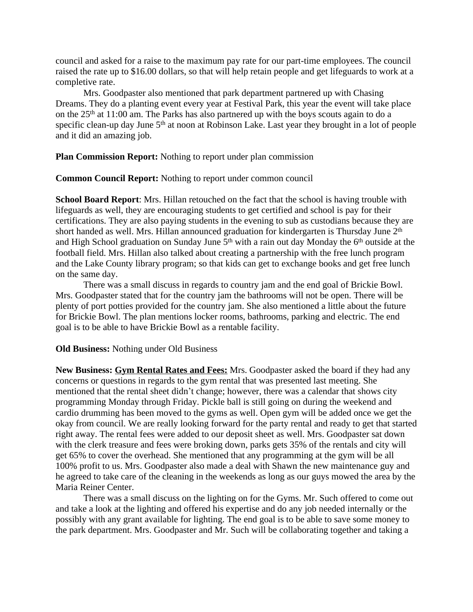council and asked for a raise to the maximum pay rate for our part-time employees. The council raised the rate up to \$16.00 dollars, so that will help retain people and get lifeguards to work at a completive rate.

Mrs. Goodpaster also mentioned that park department partnered up with Chasing Dreams. They do a planting event every year at Festival Park, this year the event will take place on the 25th at 11:00 am. The Parks has also partnered up with the boys scouts again to do a specific clean-up day June 5<sup>th</sup> at noon at Robinson Lake. Last year they brought in a lot of people and it did an amazing job.

**Plan Commission Report:** Nothing to report under plan commission

**Common Council Report:** Nothing to report under common council

**School Board Report**: Mrs. Hillan retouched on the fact that the school is having trouble with lifeguards as well, they are encouraging students to get certified and school is pay for their certifications. They are also paying students in the evening to sub as custodians because they are short handed as well. Mrs. Hillan announced graduation for kindergarten is Thursday June 2<sup>th</sup> and High School graduation on Sunday June 5<sup>th</sup> with a rain out day Monday the 6<sup>th</sup> outside at the football field. Mrs. Hillan also talked about creating a partnership with the free lunch program and the Lake County library program; so that kids can get to exchange books and get free lunch on the same day.

There was a small discuss in regards to country jam and the end goal of Brickie Bowl. Mrs. Goodpaster stated that for the country jam the bathrooms will not be open. There will be plenty of port potties provided for the country jam. She also mentioned a little about the future for Brickie Bowl. The plan mentions locker rooms, bathrooms, parking and electric. The end goal is to be able to have Brickie Bowl as a rentable facility.

## **Old Business:** Nothing under Old Business

**New Business: Gym Rental Rates and Fees:** Mrs. Goodpaster asked the board if they had any concerns or questions in regards to the gym rental that was presented last meeting. She mentioned that the rental sheet didn't change; however, there was a calendar that shows city programming Monday through Friday. Pickle ball is still going on during the weekend and cardio drumming has been moved to the gyms as well. Open gym will be added once we get the okay from council. We are really looking forward for the party rental and ready to get that started right away. The rental fees were added to our deposit sheet as well. Mrs. Goodpaster sat down with the clerk treasure and fees were broking down, parks gets 35% of the rentals and city will get 65% to cover the overhead. She mentioned that any programming at the gym will be all 100% profit to us. Mrs. Goodpaster also made a deal with Shawn the new maintenance guy and he agreed to take care of the cleaning in the weekends as long as our guys mowed the area by the Maria Reiner Center.

There was a small discuss on the lighting on for the Gyms. Mr. Such offered to come out and take a look at the lighting and offered his expertise and do any job needed internally or the possibly with any grant available for lighting. The end goal is to be able to save some money to the park department. Mrs. Goodpaster and Mr. Such will be collaborating together and taking a